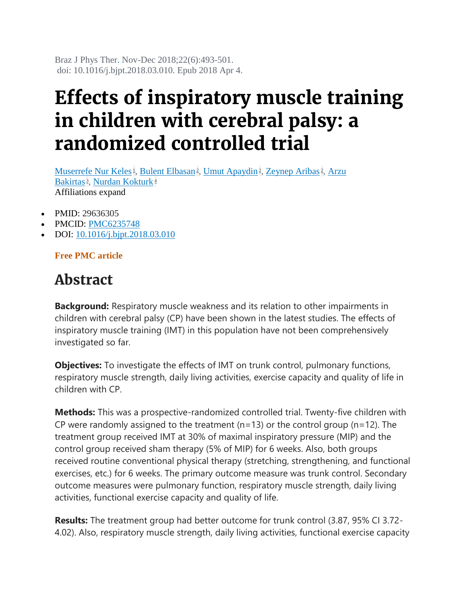Braz J Phys Ther. Nov-Dec 2018;22(6):493-501. doi: 10.1016/j.bjpt.2018.03.010. Epub 2018 Apr 4.

## **Effects of inspiratory muscle training in children with cerebral palsy: a randomized controlled trial**

[Muserrefe Nur Keles](https://pubmed.ncbi.nlm.nih.gov/?term=Keles+MN&cauthor_id=29636305)<sup>1</sup>[,](https://pubmed.ncbi.nlm.nih.gov/29636305/#affiliation-2) [Bulent Elbasan](https://pubmed.ncbi.nlm.nih.gov/?term=Elbasan+B&cauthor_id=29636305)<sup>2</sup>, [Umut Apaydin](https://pubmed.ncbi.nlm.nih.gov/?term=Apaydin+U&cauthor_id=29636305)<sup>2</sup>, [Zeynep Aribas](https://pubmed.ncbi.nlm.nih.gov/?term=Aribas+Z&cauthor_id=29636305)<sup>2</sup>, Arzu [Bakirtas](https://pubmed.ncbi.nlm.nih.gov/?term=Bakirtas+A&cauthor_id=29636305)<sup>3</sup>[,](https://pubmed.ncbi.nlm.nih.gov/29636305/#affiliation-3) [Nurdan Kokturk](https://pubmed.ncbi.nlm.nih.gov/?term=Kokturk+N&cauthor_id=29636305)<sup>[4](https://pubmed.ncbi.nlm.nih.gov/29636305/#affiliation-4)</sup> Affiliations expand

- PMID: 29636305
- PMCID: [PMC6235748](http://www.ncbi.nlm.nih.gov/pmc/articles/pmc6235748/)
- DOI: [10.1016/j.bjpt.2018.03.010](https://doi.org/10.1016/j.bjpt.2018.03.010)

**Free PMC article**

## **Abstract**

**Background:** Respiratory muscle weakness and its relation to other impairments in children with cerebral palsy (CP) have been shown in the latest studies. The effects of inspiratory muscle training (IMT) in this population have not been comprehensively investigated so far.

**Objectives:** To investigate the effects of IMT on trunk control, pulmonary functions, respiratory muscle strength, daily living activities, exercise capacity and quality of life in children with CP.

**Methods:** This was a prospective-randomized controlled trial. Twenty-five children with CP were randomly assigned to the treatment (n=13) or the control group (n=12). The treatment group received IMT at 30% of maximal inspiratory pressure (MIP) and the control group received sham therapy (5% of MIP) for 6 weeks. Also, both groups received routine conventional physical therapy (stretching, strengthening, and functional exercises, etc.) for 6 weeks. The primary outcome measure was trunk control. Secondary outcome measures were pulmonary function, respiratory muscle strength, daily living activities, functional exercise capacity and quality of life.

**Results:** The treatment group had better outcome for trunk control (3.87, 95% CI 3.72- 4.02). Also, respiratory muscle strength, daily living activities, functional exercise capacity